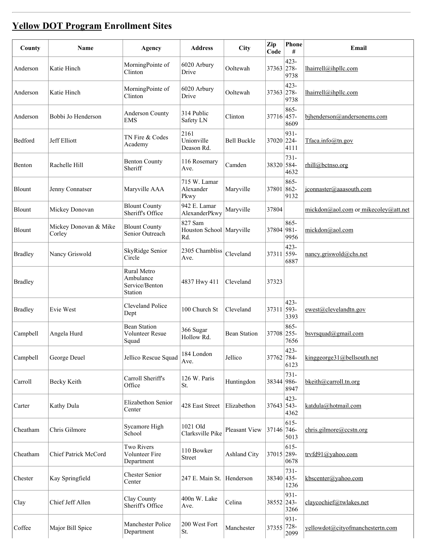## Yellow DOT [Program](http://www.tdot.state.tn.us/yellowdot/default.shtml) Enrollment Sites

| County         | Name                            | Agency                                                | <b>Address</b>                               | <b>City</b>         | Zip<br>Code | Phone<br>#      | Email                                |
|----------------|---------------------------------|-------------------------------------------------------|----------------------------------------------|---------------------|-------------|-----------------|--------------------------------------|
| Anderson       | Katie Hinch                     | MorningPointe of<br>Clinton                           | 6020 Arbury<br>Drive                         | Ooltewah            | 37363 278-  | 423-<br>9738    | lhairrell@ihpllc.com                 |
| Anderson       | Katie Hinch                     | MorningPointe of<br>Clinton                           | 6020 Arbury<br>Drive                         | Ooltewah            | 37363 278-  | 423-<br>9738    | lhairrell@ihpllc.com                 |
| Anderson       | Bobbi Jo Henderson              | Anderson County<br><b>EMS</b>                         | 314 Public<br>Safety LN                      | Clinton             | 37716 457-  | 865-<br>8609    | bjhenderson@andersonems.com          |
| Bedford        | Jeff Elliott                    | TN Fire & Codes<br>Academy                            | 2161<br>Unionville<br>Deason Rd.             | <b>Bell Buckle</b>  | 37020 224-  | 931-<br>4111    | $T$ faca.info@tn.gov                 |
| Benton         | Rachelle Hill                   | <b>Benton County</b><br>Sheriff                       | 116 Rosemary<br>Ave.                         | Camden              | 38320 584-  | 731-<br>4632    | rhill@bctnso.org                     |
| Blount         | Jenny Connatser                 | Maryville AAA                                         | 715 W. Lamar<br>Alexander<br>Pkwy            | Maryville           | 37801 862-  | 865-<br>9132    | jconnaster@aaasouth.com              |
| Blount         | Mickey Donovan                  | <b>Blount County</b><br>Sheriff's Office              | 942 E. Lamar<br>AlexanderPkwy                | Maryville           | 37804       |                 | mickdon@aol.com or mikecoley@att.net |
| <b>Blount</b>  | Mickey Donovan & Mike<br>Corley | <b>Blount County</b><br>Senior Outreach               | 827 Sam<br>Houston School   Maryville<br>Rd. |                     | 37804 981-  | 865-<br>9956    | mickdon@aol.com                      |
| <b>Bradley</b> | Nancy Griswold                  | SkyRidge Senior<br>Circle                             | 2305 Chambliss<br>Ave.                       | Cleveland           | 37311 559-  | 423-<br>6887    | nancy.griswold@chs.net               |
| <b>Bradley</b> |                                 | Rural Metro<br>Ambulance<br>Service/Benton<br>Station | 4837 Hwy 411                                 | Cleveland           | 37323       |                 |                                      |
| <b>Bradley</b> | Evie West                       | Cleveland Police<br>Dept                              | 100 Church St                                | Cleveland           | 37311 593-  | 423-<br>3393    | ewest@clevelandtn.gov                |
| Campbell       | Angela Hurd                     | <b>Bean Station</b><br>Volunteer Resue<br>Squad       | 366 Sugar<br>Hollow Rd.                      | <b>Bean Station</b> | 37708 255-  | 865-<br>7656    | $b$ svrsquad@gmail.com               |
| Campbell       | George Deuel                    | Jellico Rescue Squad                                  | 184 London<br>Ave.                           | Jellico             | 37762 784-  | 423-<br>6123    | kinggeorge $31$ @bellsouth.net       |
| Carroll        | Becky Keith                     | Carroll Sheriff's<br>Office                           | 126 W. Paris<br>St.                          | Huntingdon          | 38344 986-  | $731 -$<br>8947 | bkeith@carroll.tn.org                |
| Carter         | Kathy Dula                      | Elizabethon Senior<br>Center                          | 428 East Street                              | Elizabethon         | 37643 543-  | 423-<br>4362    | katdula@hotmail.com                  |
| Cheatham       | Chris Gilmore                   | Sycamore High<br>School                               | 1021 Old<br>Clarksville Pike                 | Pleasant View       | 37146 746-  | $615 -$<br>5013 | chris.gilmore@ccstn.org              |
| Cheatham       | Chief Patrick McCord            | <b>Two Rivers</b><br>Volunteer Fire<br>Department     | 110 Bowker<br>Street                         | <b>Ashland City</b> | 37015 289-  | $615 -$<br>0678 | trvfd91@yahoo.com                    |
| Chester        | Kay Springfield                 | <b>Chester Senior</b><br>Center                       | 247 E. Main St. Henderson                    |                     | 38340 435-  | $731 -$<br>1236 | kbscenter@yahoo.com                  |
| Clay           | Chief Jeff Allen                | Clay County<br>Sheriff's Office                       | 400n W. Lake<br>Ave.                         | Celina              | 38552 243-  | 931-<br>3266    | claycochief@twlakes.net              |
| Coffee         | Major Bill Spice                | Manchester Police<br>Department                       | 200 West Fort<br>St.                         | Manchester          | 37355 728-  | 931-<br>2099    | yellowdot@cityofmanchestertn.com     |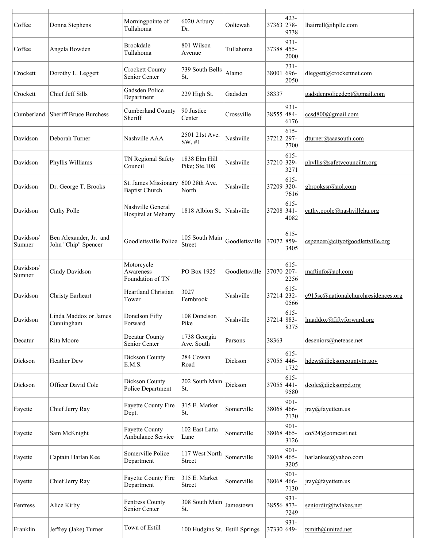| Coffee              | Donna Stephens                                | Morningpointe of<br>Tullahoma                 | 6020 Arbury<br>Dr.              | Ooltewah       | 37363 278- | 423-<br>9738    | lhairrell@ihpllc.com                |
|---------------------|-----------------------------------------------|-----------------------------------------------|---------------------------------|----------------|------------|-----------------|-------------------------------------|
| Coffee              | Angela Bowden                                 | <b>Brookdale</b><br>Tullahoma                 | 801 Wilson<br>Avenue            | Tullahoma      | 37388 455- | 931-<br>2000    |                                     |
| Crockett            | Dorothy L. Leggett                            | <b>Crockett County</b><br>Senior Center       | 739 South Bells<br>St.          | Alamo          | 38001 696- | $731 -$<br>2050 | dleggett@crockettnet.com            |
| Crockett            | Chief Jeff Sills                              | Gadsden Police<br>Department                  | 229 High St.                    | Gadsden        | 38337      |                 | gadsdenpolicedept@gmail.com         |
| Cumberland          | <b>Sheriff Bruce Burchess</b>                 | Cumberland County<br>Sheriff                  | 90 Justice<br>Center            | Crossville     | 38555 484- | 931-<br>6176    | $ccsd800$ @gmail.com                |
| Davidson            | Deborah Turner                                | Nashville AAA                                 | 2501 21st Ave.<br>SW, #1        | Nashville      | 37212 297- | $615 -$<br>7700 | dturner@aaasouth.com                |
| Davidson            | Phyllis Williams                              | TN Regional Safety<br>Council                 | 1838 Elm Hill<br>Pike; Ste.108  | Nashville      | 37210 329- | $615 -$<br>3271 | phyllis@safetycounciltn.org         |
| Davidson            | Dr. George T. Brooks                          | St. James Missionary<br><b>Baptist Church</b> | 600 28th Ave.<br>North          | Nashville      | 37209 320- | $615 -$<br>7616 | gbrookssr@aol.com                   |
| Davidson            | Cathy Polle                                   | Nashville General<br>Hospital at Meharry      | 1818 Albion St. Nashville       |                | 37208 341- | 615-<br>4082    | cathy.poole@nashvilleha.org         |
| Davidson/<br>Sumner | Ben Alexander, Jr. and<br>John "Chip" Spencer | Goodlettsville Police                         | 105 South Main<br>Street        | Goodlettsville | 37072 859- | $615 -$<br>3405 | $c$ spencer@cityofgoodlettville.org |
| Davidson/<br>Sumner | Cindy Davidson                                | Motorcycle<br>Awareness<br>Foundation of TN   | PO Box 1925                     | Goodlettsville | 37070 207- | 615-<br>2256    | maftinfo@aol.com                    |
| Davidson            | Christy Earheart                              | Heartland Christian<br>Tower                  | 3027<br>Fernbrook               | Nashville      | 37214 232- | $615 -$<br>0566 | c915sc@nationalchurchresidences.org |
| Davidson            | Linda Maddox or James<br>Cunningham           | Donelson Fifty<br>Forward                     | 108 Donelson<br>Pike            | Nashville      | 37214 883- | $615-$<br>8375  | lmaddox@fiftyforward.org            |
| Decatur             | Rita Moore                                    | Decatur County<br>Senior Center               | 1738 Georgia<br>Ave. South      | Parsons        | 38363      |                 | deseniors@netease.net               |
| Dickson             | Heather Dew                                   | Dickson County<br>E.M.S.                      | 284 Cowan<br>Road               | Dickson        | 37055 446- | $615 -$<br>1732 | hdew@dicksoncountytn.gov            |
| Dickson             | Officer David Cole                            | Dickson County<br>Police Department           | 202 South Main<br>St.           | Dickson        | 37055 441- | 615-<br>9580    | dcole@dicksonpd.org                 |
| Fayette             | Chief Jerry Ray                               | Fayette County Fire<br>Dept.                  | 315 E. Market<br>St.            | Somerville     | 38068 466- | 901-<br>7130    | jray@fayettetn.us                   |
| Fayette             | Sam McKnight                                  | <b>Fayette County</b><br>Ambulance Service    | 102 East Latta<br>Lane          | Somerville     | 38068 465- | 901-<br>3126    | co524@comcast.net                   |
| Fayette             | Captain Harlan Kee                            | Somerville Police<br>Department               | 117 West North<br><b>Street</b> | Somerville     | 38068 465- | 901-<br>3205    | harlankee@yahoo.com                 |
| Fayette             | Chief Jerry Ray                               | Fayette County Fire<br>Department             | 315 E. Market<br><b>Street</b>  | Somerville     | 38068 466- | 901-<br>7130    | iray@fayettetn.us                   |
| Fentress            | Alice Kirby                                   | <b>Fentress County</b><br>Senior Center       | 308 South Main<br>St.           | Jamestown      | 38556 873- | 931-<br>7249    | seniordir@twlakes.net               |
| Franklin            | Jeffrey (Jake) Turner                         | Town of Estill                                | 100 Hudgins St. Estill Springs  |                | 37330 649- | 931-            | tsmith@united.net                   |
|                     |                                               |                                               |                                 |                |            |                 |                                     |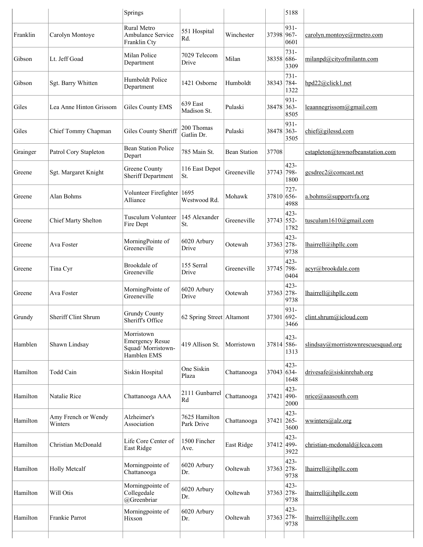|          |                                | Springs                                                                  |                             |                     |            | 5188                    |                                    |
|----------|--------------------------------|--------------------------------------------------------------------------|-----------------------------|---------------------|------------|-------------------------|------------------------------------|
| Franklin | Carolyn Montoye                | Rural Metro<br>Ambulance Service<br>Franklin Cty                         | 551 Hospital<br>Rd.         | Winchester          | 37398 967- | $931 -$<br>0601         | carolyn.montove@rmetro.com         |
| Gibson   | Lt. Jeff Goad                  | Milan Police<br>Department                                               | 7029 Telecom<br>Drive       | Milan               | 38358 686- | 731-<br>3309            | milanpd@cityofmilantn.com          |
| Gibson   | Sgt. Barry Whitten             | Humboldt Police<br>Department                                            | 1421 Osborne                | Humboldt            | 38343 784- | 731-<br>1322            | hpd22@click1.net                   |
| Giles    | Lea Anne Hinton Grissom        | Giles County EMS                                                         | 639 East<br>Madison St.     | Pulaski             | 38478 363- | 931-<br>8505            | leaannegrissom@gmail.com           |
| Giles    | Chief Tommy Chapman            | Giles County Sheriff                                                     | 200 Thomas<br>Gatlin Dr.    | Pulaski             | 38478 363- | 931-<br>3505            | chief@gilessd.com                  |
| Grainger | Patrol Cory Stapleton          | <b>Bean Station Police</b><br>Depart                                     | 785 Main St.                | <b>Bean Station</b> | 37708      |                         | cstapleton@townofbeanstation.com   |
| Greene   | Sgt. Margaret Knight           | Greene County<br><b>Sheriff Department</b>                               | 116 East Depot<br>St.       | Greeneville         | 37743 798- | $423 -$<br>1800         | gcsdrec2@comcast.net               |
| Greene   | Alan Bohms                     | Volunteer Firefighter 1695<br>Alliance                                   | Westwood Rd.                | Mohawk              | 37810 656- | $727 -$<br>4988         | a.bohms@supportvfa.org             |
| Greene   | <b>Chief Marty Shelton</b>     | <b>Tusculum Volunteer</b><br>Fire Dept                                   | 145 Alexander<br>St.        | Greeneville         | 37743 552- | 423-<br>1782            | tusculum1610@gmail.com             |
| Greene   | Ava Foster                     | MorningPointe of<br>Greeneville                                          | 6020 Arbury<br>Drive        | Ootewah             | 37363 278- | 423-<br>9738            | lhairrell@ihpllc.com               |
| Greene   | Tina Cyr                       | Brookdale of<br>Greeneville                                              | 155 Serral<br>Drive         | Greeneville         | 37745 798- | 423-<br>0404            | acyr@brookdale.com                 |
| Greene   | Ava Foster                     | MorningPointe of<br>Greeneville                                          | 6020 Arbury<br>Drive        | Ootewah             | 37363 278- | 423-<br>9738            | lhairrell@ihpllc.com               |
| Grundy   | Sheriff Clint Shrum            | <b>Grundy County</b><br>Sheriff's Office                                 | 62 Spring Street   Altamont |                     | 37301 692- | $931 -$<br>3466         | clint.shrum@icloud.com             |
| Hamblen  | Shawn Lindsay                  | Morristown<br><b>Emergency Resue</b><br>Squad/Morristown-<br>Hamblen EMS | 419 Allison St.             | Morristown          | 37814 586- | 423-<br>1313            | slindsay@morristownrescuesquad.org |
| Hamilton | Todd Cain                      | Siskin Hospital                                                          | One Siskin<br>Plaza         | Chattanooga         | 37043 634- | 423-<br>1648            | drivesafe@siskinrehab.org          |
| Hamilton | Natalie Rice                   | Chattanooga AAA                                                          | 2111 Gunbarrel<br>Rd        | Chattanooga         | 37421 490- | 423-<br>2000            | nrice@aaasouth.com                 |
| Hamilton | Amy French or Wendy<br>Winters | Alzheimer's<br>Association                                               | 7625 Hamilton<br>Park Drive | Chattanooga         | 37421      | 423-<br>$ 265-$<br>3600 | wwinters@alz.org                   |
| Hamilton | Christian McDonald             | Life Core Center of<br>East Ridge                                        | 1500 Fincher<br>Ave.        | East Ridge          | 37412 499- | 423-<br>3922            | christian-mcdonald@lcca.com        |
| Hamilton | <b>Holly Metcalf</b>           | Morningpointe of<br>Chattanooga                                          | 6020 Arbury<br>Dr.          | Ooltewah            | 37363 278- | 423-<br>9738            | lhairrell@ihpllc.com               |
| Hamilton | Will Otis                      | Morningpointe of<br>Collegedale<br>@Greenbriar                           | 6020 Arbury<br>Dr.          | Ooltewah            | 37363 278- | 423-<br>9738            | lhairrell@ihpllc.com               |
| Hamilton | Frankie Parrot                 | Morningpointe of<br>Hixson                                               | 6020 Arbury<br>Dr.          | Ooltewah            | 37363 278- | 423-<br>9738            | lhairrell@ihpllc.com               |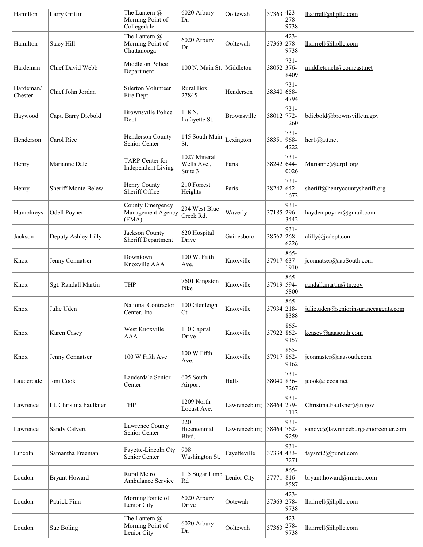| Hamilton             | Larry Griffin              | The Lantern @<br>Morning Point of<br>Collegedale | 6020 Arbury<br>Dr.                     | Ooltewah     | 37363 423- | 278-<br>9738            | lhairrell@ihpllc.com                 |
|----------------------|----------------------------|--------------------------------------------------|----------------------------------------|--------------|------------|-------------------------|--------------------------------------|
| Hamilton             | <b>Stacy Hill</b>          | The Lantern @<br>Morning Point of<br>Chattanooga | 6020 Arbury<br>Dr.                     | Ooltewah     | 37363 278- | 423-<br>9738            | lhairrell@ihpllc.com                 |
| Hardeman             | Chief David Webb           | Middleton Police<br>Department                   | 100 N. Main St. Middleton              |              | 38052 376- | 731-<br>8409            | middletonch@comcast.net              |
| Hardeman/<br>Chester | Chief John Jordan          | Silerton Volunteer<br>Fire Dept.                 | Rural Box<br>27845                     | Henderson    | 38340 658- | 731-<br>4794            |                                      |
| Haywood              | Capt. Barry Diebold        | <b>Brownsville Police</b><br>Dept                | 118 N.<br>Lafayette St.                | Brownsville  | 38012 772- | 731-<br>1260            | bdiebold@brownsvilletn.gov           |
| Henderson            | Carol Rice                 | Henderson County<br>Senior Center                | 145 South Main<br>St.                  | Lexington    | 38351 968- | 731-<br>4222            | $\frac{\text{hcr1}(a)}{a}$ att.net   |
| Henry                | Marianne Dale              | TARP Center for<br><b>Independent Living</b>     | 1027 Mineral<br>Wells Ave.,<br>Suite 3 | Paris        | 38242 644- | 731-<br>0026            | Marianne@tarp1.org                   |
| Henry                | <b>Sheriff Monte Belew</b> | Henry County<br>Sheriff Office                   | 210 Forrest<br>Heights                 | Paris        | 38242 642- | 731-<br>1672            | sheriff@henrycountysheriff.org       |
| Humphreys            | Odell Poyner               | County Emergency<br>Management Agency<br>(EMA)   | 234 West Blue<br>Creek Rd.             | Waverly      | 37185 296- | 931-<br>3442            | hayden.poyner@gmail.com              |
| Jackson              | Deputy Ashley Lilly        | Jackson County<br>Sheriff Department             | 620 Hospital<br>Drive                  | Gainesboro   | 38562 268- | 931-<br>6226            | alilly@icdept.com                    |
| Knox                 | Jenny Connatser            | Downtown<br>Knoxville AAA                        | 100 W. Fifth<br>Ave.                   | Knoxville    | 37917 637- | 865-<br>1910            | iconnatser@aaaSouth.com              |
| Knox                 | Sgt. Randall Martin        | <b>THP</b>                                       | 7601 Kingston<br>Pike                  | Knoxville    | 37919 594- | 865-<br>5800            | randall.martin@tn.gov                |
| Knox                 | Julie Uden                 | National Contractor<br>Center, Inc.              | 100 Glenleigh<br>Ct.                   | Knoxville    | 37934 218- | 865-<br>8388            | julie.uden@seniorinsuranceagents.com |
| Knox                 | Karen Casey                | West Knoxville<br>AAA                            | 110 Capital<br>Drive                   | Knoxville    | 37922 862- | 865-<br>9157            | kcasey@aaasouth.com                  |
| Knox                 | Jenny Connatser            | 100 W Fifth Ave.                                 | 100 W Fifth<br>Ave.                    | Knoxville    | 37917 862- | 865-<br>9162            | iconnaster@aaasouth.com              |
| Lauderdale           | Joni Cook                  | Lauderdale Senior<br>Center                      | 605 South<br>Airport                   | Halls        | 38040 836- | 731-<br>7267            | icook@lccoa.net                      |
| Lawrence             | Lt. Christina Faulkner     | THP                                              | 1209 North<br>Locust Ave.              | Lawrenceburg | 38464 279- | 931-<br>1112            | Christina.Faulkner@tn.gov            |
| Lawrence             | Sandy Calvert              | Lawrence County<br>Senior Center                 | 220<br>Bicentennial<br>Blvd.           | Lawrenceburg | 38464 762- | 931-<br>9259            | sandyc@lawrenceburgseniorcenter.com  |
| Lincoln              | Samantha Freeman           | Fayette-Lincoln Cty<br>Senior Center             | 908<br>Washington St.                  | Fayetteville | 37334 433- | 931-<br>7271            | faysrct2@punet.com                   |
| Loudon               | <b>Bryant Howard</b>       | Rural Metro<br>Ambulance Service                 | 115 Sugar Limb<br>Rd                   | Lenior City  | 37771      | 865-<br>$816-$<br>8587  | bryant.howard@rmetro.com             |
| Loudon               | Patrick Finn               | MorningPointe of<br>Lenior City                  | 6020 Arbury<br>Drive                   | Ootewah      | 37363 278- | 423-<br>9738            | lhairrell@ihpllc.com                 |
| Loudon               | Sue Boling                 | The Lantern @<br>Morning Point of<br>Lenior City | 6020 Arbury<br>Dr.                     | Ooltewah     | 37363      | 423-<br>$ 278-$<br>9738 | lhairrell@ihpllc.com                 |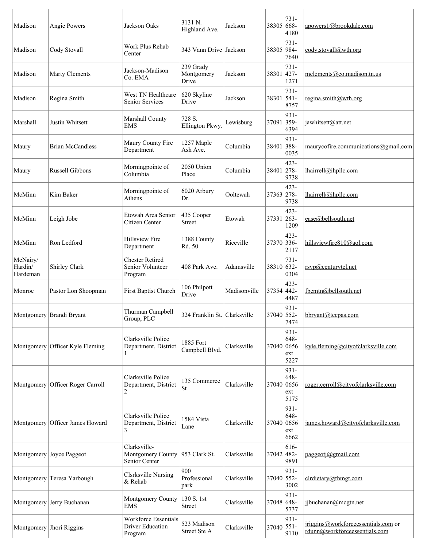| Madison                         | Angie Powers             | Jackson Oaks                                                      | 3131 N.<br>Highland Ave.         | Jackson      | 38305 668- | 731-<br>4180                | apowers1@brookdale.com                                               |
|---------------------------------|--------------------------|-------------------------------------------------------------------|----------------------------------|--------------|------------|-----------------------------|----------------------------------------------------------------------|
| Madison                         | Cody Stovall             | Work Plus Rehab<br>Center                                         | 343 Vann Drive Jackson           |              | 38305 984- | 731-<br>7640                | cody.stovall@wth.org                                                 |
| Madison                         | <b>Marty Clements</b>    | Jackson-Madison<br>Co. EMA                                        | 239 Grady<br>Montgomery<br>Drive | Jackson      | 38301      | 731-<br>$ 427-$<br>1271     | mclements@co.madison.tn.us                                           |
| Madison                         | Regina Smith             | West TN Healthcare<br><b>Senior Services</b>                      | 620 Skyline<br>Drive             | Jackson      | 38301      | 731-<br>$ 541-$<br>8757     | regina.smith@wth.org                                                 |
| Marshall                        | Justin Whitsett          | Marshall County<br><b>EMS</b>                                     | 728 S.<br>Ellington Pkwy.        | Lewisburg    | 37091 359- | 931-<br>6394                | jawhitsett@att.net                                                   |
| Maury                           | <b>Brian McCandless</b>  | Maury County Fire<br>Department                                   | 1257 Maple<br>Ash Ave.           | Columbia     | 38401 388- | 931-<br>0035                | maurycofire.communications@gmail.com                                 |
| Maury                           | <b>Russell Gibbons</b>   | Morningpointe of<br>Columbia                                      | 2050 Union<br>Place              | Columbia     | 38401      | 423-<br>$ 278-$<br>9738     | lhairrell@ihpllc.com                                                 |
| McMinn                          | Kim Baker                | Morningpointe of<br>Athens                                        | 6020 Arbury<br>Dr.               | Ooltewah     | 37363 278- | 423-<br>9738                | lhairrell@ihpllc.com                                                 |
| McMinn                          | Leigh Jobe               | Etowah Area Senior<br>Citizen Center                              | 435 Cooper<br>Street             | Etowah       | 37331 263- | 423-<br>1209                | ease@bellsouth.net                                                   |
| McMinn                          | Ron Ledford              | <b>Hillsview Fire</b><br>Department                               | 1388 County<br>Rd. 50            | Riceville    | 37370 336- | 423-<br>2117                | hillsviewfire810@aol.com                                             |
| McNairy/<br>Hardin/<br>Hardeman | Shirley Clark            | <b>Chester Retired</b><br>Senior Volunteer<br>Program             | 408 Park Ave.                    | Adamsville   | 38310 632- | 731-<br>0304                | rsvp@centurytel.net                                                  |
| Monroe                          | Pastor Lon Shoopman      | First Baptist Church                                              | 106 Philpott<br>Drive            | Madisonville | 37354 442- | 423-<br>4487                | fbcmtn@bellsouth.net                                                 |
|                                 | Montgomery Brandi Bryant | Thurman Campbell<br>Group, PLC                                    | 324 Franklin St. Clarksville     |              | 37040 552- | 931-<br>7474                | bbryant@tccpas.com                                                   |
| Montgomery                      | Officer Kyle Fleming     | Clarksville Police<br>Department, District                        | 1885 Fort<br>Campbell Blvd.      | Clarksville  | 37040 0656 | 931-<br>648-<br>ext<br>5227 | kyle.fleming@cityofclarksville.com                                   |
| Montgomery                      | Officer Roger Carroll    | Clarksville Police<br>Department, District<br>2                   | 135 Commerce<br><b>St</b>        | Clarksville  | 37040 0656 | 931-<br>648-<br>ext<br>5175 | roger.cerroll@cityofclarksville.com                                  |
| Montgomery                      | Officer James Howard     | Clarksville Police<br>Department, District<br>3                   | 1584 Vista<br>Lane               | Clarksville  | 37040 0656 | 931-<br>648-<br>ext<br>6662 | james.howard@cityofclarksville.com                                   |
| Montgomery                      | Joyce Paggeot            | Clarksville-<br>Montgomery County<br>Senior Center                | 953 Clark St.                    | Clarksville  | 37042 482- | 616-<br>9891                | paggeoti@gmail.com                                                   |
| Montgomery                      | Teresa Yarbough          | <b>Clsrksville Nursing</b><br>& Rehab                             | 900<br>Professional<br>park      | Clarksville  | 37040 552- | 931-<br>3002                | clrdietary@thmgt.com                                                 |
| Montgomery                      | Jerry Buchanan           | Montgomery County<br><b>EMS</b>                                   | 130 S. 1st<br>Street             | Clarksville  | 37048 648- | 931-<br>5737                | jjbuchanan@mcgtn.net                                                 |
| Montgomery                      | Jhori Riggins            | <b>Workforce Essentials</b><br><b>Driver Education</b><br>Program | 523 Madison<br>Street Ste A      | Clarksville  | 37040 551- | 931-<br>9110                | jriggins@workforceessentials.com or<br>rdunn@workforceessentials.com |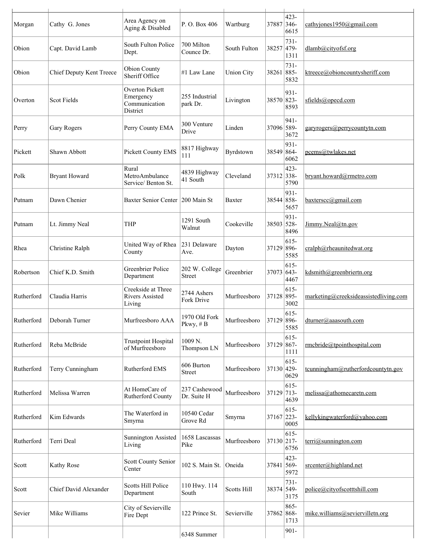|            |                                 |                                                           |                              |                    |            | 423-                    |                                              |
|------------|---------------------------------|-----------------------------------------------------------|------------------------------|--------------------|------------|-------------------------|----------------------------------------------|
| Morgan     | Cathy G. Jones                  | Area Agency on<br>Aging & Disabled                        | P.O. Box 406                 | Wartburg           | 37887      | $346-$<br>6615          | cathyjones1950@gmail.com                     |
| Obion      | Capt. David Lamb                | South Fulton Police<br>Dept.                              | 700 Milton<br>Counce Dr.     | South Fulton       | 38257 479- | $731 -$<br>1311         | dlamb@cityofsf.org                           |
| Obion      | <b>Chief Deputy Kent Treece</b> | <b>Obion County</b><br>Sheriff Office                     | #1 Law Lane                  | <b>Union City</b>  | 38261 885- | 731-<br>5832            | ktreece@obioncountysheriff.com               |
| Overton    | <b>Scot Fields</b>              | Overton Pickett<br>Emergency<br>Communication<br>District | 255 Industrial<br>park Dr.   | Livington          | 38570 823- | $931 -$<br>8593         | sfields@opecd.com                            |
| Perry      | Gary Rogers                     | Perry County EMA                                          | 300 Venture<br>Drive         | Linden             | 37096 589- | 941-<br>3672            | garyrogers@perrycountytn.com                 |
| Pickett    | Shawn Abbott                    | Pickett County EMS                                        | 8817 Highway<br>111          | Byrdstown          | 38549      | 931-<br>$ 864-$<br>6062 | pcems@twlakes.net                            |
| Polk       | <b>Bryant Howard</b>            | Rural<br>MetroAmbulance<br>Service/ Benton St.            | 4839 Highway<br>41 South     | Cleveland          | 37312 338- | 423-<br>5790            | bryant.howard@rmetro.com                     |
| Putnam     | Dawn Chenier                    | <b>Baxter Senior Center</b>                               | 200 Main St                  | Baxter             | 38544 858- | 931-<br>5657            | $b$ axterscc@gmail.com                       |
| Putnam     | Lt. Jimmy Neal                  | <b>THP</b>                                                | 1291 South<br>Walnut         | Cookeville         | 38503 528- | 931-<br>8496            | Jimmy.Neal@tn.gov                            |
| Rhea       | Christine Ralph                 | United Way of Rhea<br>County                              | 231 Delaware<br>Ave.         | Dayton             | 37129      | 615-<br>896-<br>5585    | cralph@rheaunitedwat.org                     |
| Robertson  | Chief K.D. Smith                | <b>Greenbrier Police</b><br>Department                    | 202 W. College<br>Street     | Greenbrier         | 37073 643- | $615 -$<br>4467         | kdsmith@greenbriertn.org                     |
| Rutherford | Claudia Harris                  | Creekside at Three<br><b>Rivers Assisted</b><br>Living    | 2744 Ashers<br>Fork Drive    | Murfreesboro       | 37128 895- | $615 -$<br>3002         | marketing@creeksideassistedliving.com        |
| Rutherford | Deborah Turner                  | Murfreesboro AAA                                          | 1970 Old Fork<br>Pkwy, #B    | Murfreesboro       | 37129      | $615 -$<br>896-<br>5585 | dturner@aaasouth.com                         |
| Rutherford | Reba McBride                    | <b>Trustpoint Hospital</b><br>of Murfreesboro             | 1009 N.<br>Thompson LN       | Murfreesboro       | 37129      | 615-<br>$867 -$<br>1111 | rmcbride@tpointhospital.com                  |
| Rutherford | Terry Cunningham                | Rutherford EMS                                            | 606 Burton<br><b>Street</b>  | Murfreesboro       | 37130 429- | 615-<br>0629            | tcunningham@rutherfordcountytn.gov           |
| Rutherford | Melissa Warren                  | At HomeCare of<br>Rutherford County                       | 237 Cashewood<br>Dr. Suite H | Murfreesboro       | 37129 713- | 615-<br>4639            | melissa@athomecaretn.com                     |
| Rutherford | Kim Edwards                     | The Waterford in<br>Smyrna                                | 10540 Cedar<br>Grove Rd      | Smyrna             | 37167 223- | $615 -$<br>0005         | kellykingwaterford@yahoo.com                 |
| Rutherford | Terri Deal                      | <b>Sunnington Assisted</b><br>Living                      | 1658 Lascassas<br>Pike       | Murfreesboro       | 37130 217- | 615-<br>6756            | $\text{terri}\textcircled{a}$ sunnington.com |
| Scott      | Kathy Rose                      | Scott County Senior<br>Center                             | 102 S. Main St.              | Oneida             | 37841 569- | 423-<br>5972            | srcenter@highland.net                        |
| Scott      | Chief David Alexander           | <b>Scotts Hill Police</b><br>Department                   | 110 Hwy. 114<br>South        | <b>Scotts Hill</b> | 38374 549- | 731-<br>3175            | police@cityofscotttshill.com                 |
| Sevier     | Mike Williams                   | City of Sevierville<br>Fire Dept                          | 122 Prince St.               | Sevierville        | 37862      | 865-<br>868-<br>1713    | mike.williams@seviervilletn.org              |
|            |                                 |                                                           | 6348 Summer                  |                    |            | $901 -$                 |                                              |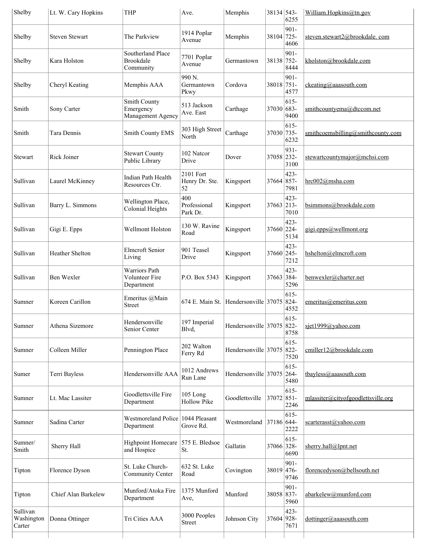| Lt. W. Cary Hopkins   | <b>THP</b>                                           | Ave.                                   | Memphis                           | 6255                       | William.Hopkins@tn.gov                                                                                                                                                                                                                                                                                                                              |
|-----------------------|------------------------------------------------------|----------------------------------------|-----------------------------------|----------------------------|-----------------------------------------------------------------------------------------------------------------------------------------------------------------------------------------------------------------------------------------------------------------------------------------------------------------------------------------------------|
| <b>Steven Stewart</b> | The Parkview                                         | 1914 Poplar<br>Avenue                  | Memphis                           | $901 -$<br>4606            | steven.stewart2@brookdale.com                                                                                                                                                                                                                                                                                                                       |
| Kara Holston          | Southerland Place<br><b>Brookdale</b><br>Community   | 7701 Poplar<br>Avenue                  | Germantown                        | $901 -$<br>8444            | kholston@brookdale.com                                                                                                                                                                                                                                                                                                                              |
| Cheryl Keating        | Memphis AAA                                          | 990 <sub>N</sub><br>Germantown<br>Pkwy | Cordova                           | 901-<br>4577               | $c$ keating@aaasouth.com                                                                                                                                                                                                                                                                                                                            |
| Sony Carter           | Smith County<br>Emergency<br>Management Agency       | 513 Jackson<br>Ave. East               | Carthage                          | $615 -$<br>9400            | smithcountyema@dtccom.net                                                                                                                                                                                                                                                                                                                           |
| Tara Dennis           | Smith County EMS                                     | 303 High Street<br>North               | Carthage                          | $615 -$<br>6232            | smithcoemsbilling@smithcounty.com                                                                                                                                                                                                                                                                                                                   |
| <b>Rick Joiner</b>    | <b>Stewart County</b><br>Public Library              | 102 Natcor<br>Drive                    | Dover                             | 931-<br>3100               | stewartcountymajor@mchsi.com                                                                                                                                                                                                                                                                                                                        |
| Laurel McKinney       | Indian Path Health<br>Resources Ctr.                 | 2101 Fort<br>Henry Dr. Ste.<br>52      | Kingsport                         | 423-<br>7981               | hrc002@msha.com                                                                                                                                                                                                                                                                                                                                     |
| Barry L. Simmons      | Wellington Place,<br><b>Colonial Heights</b>         | 400<br>Professional<br>Park Dr.        | Kingsport                         | 423-<br>7010               | bsimmons@brookdale.com                                                                                                                                                                                                                                                                                                                              |
| Gigi E. Epps          | Wellmont Holston                                     | 130 W. Ravine<br>Road                  | Kingsport                         | 423-<br>5134               | gigi.epps@wellmont.org                                                                                                                                                                                                                                                                                                                              |
| Heather Shelton       | <b>Elmcroft Senior</b><br>Living                     | 901 Teasel<br>Drive                    | Kingsport                         | 423-<br>7212               | hshelton@elmcroft.com                                                                                                                                                                                                                                                                                                                               |
| Ben Wexler            | <b>Warriors Path</b><br>Volunteer Fire<br>Department | P.O. Box 5343                          | Kingsport                         | 423-<br>5296               | benwexler@charter.net                                                                                                                                                                                                                                                                                                                               |
| Koreen Carillon       | Emeritus @Main<br>Street                             | 674 E. Main St.                        |                                   | 615-<br>4552               | emeritus@emeritus.com                                                                                                                                                                                                                                                                                                                               |
| Athena Sizemore       | Hendersonville<br>Senior Center                      | 197 Imperial<br>Blvd,                  |                                   | 615-<br>8758               | siet1999@yahoo.com                                                                                                                                                                                                                                                                                                                                  |
| Colleen Miller        | Pennington Place                                     | 202 Walton<br>Ferry Rd                 |                                   | $615 -$<br>7520            | cmiller12@brookdale.com                                                                                                                                                                                                                                                                                                                             |
| Terri Bayless         | Hendersonville AAA                                   | 1012 Andrews<br>Run Lane               |                                   | $615 -$<br>$264 -$<br>5480 | tbayless@aaasouth.com                                                                                                                                                                                                                                                                                                                               |
| Lt. Mac Lassiter      | Goodlettsville Fire<br>Department                    | 105 Long<br><b>Hollow Pike</b>         | Goodlettsville                    | $615 -$<br>2246            | mlassiter@cityofgoodlettsville.org                                                                                                                                                                                                                                                                                                                  |
| Sadina Carter         | Department                                           | Grove Rd.                              | Westmoreland                      | $615 -$<br>2222            | scarterasst@yahoo.com                                                                                                                                                                                                                                                                                                                               |
| Sherry Hall           | Highpoint Homecare<br>and Hospice                    | 575 E. Bledsoe<br>St.                  | Gallatin                          | $615 -$<br>6690            | sherry.hall@lpnt.net                                                                                                                                                                                                                                                                                                                                |
| Florence Dyson        | St. Luke Church-<br>Community Center                 | 632 St. Luke<br>Road                   | Covington                         | 901-<br>9746               | florencedyson@bellsouth.net                                                                                                                                                                                                                                                                                                                         |
| Chief Alan Barkelew   | Munford/Atoka Fire<br>Department                     | 1375 Munford<br>Ave,                   | Munford                           | 901-<br>5960               | abarkelew@munford.com                                                                                                                                                                                                                                                                                                                               |
| Donna Ottinger        | Tri Cities AAA                                       | 3000 Peoples<br>Street                 | Johnson City                      | 423-<br>7671               | dottinger@aaasouth.com                                                                                                                                                                                                                                                                                                                              |
|                       |                                                      |                                        | Westmoreland Police 1044 Pleasant | Hendersonville 37075       | 38134 543-<br>38104 725-<br>38138 752-<br>38018 751-<br>37030 683-<br>37030 735-<br>37058 232-<br>37664 857-<br>37663 213-<br>37660 224-<br>37660 245-<br>37663 384-<br>Hendersonville $37075$ 824-<br>Hendersonville 37075 822-<br>Hendersonville $37075$ 822-<br>37072 851-<br>37186 644-<br>37066 328-<br>38019 476-<br>38058 837-<br>37604 928- |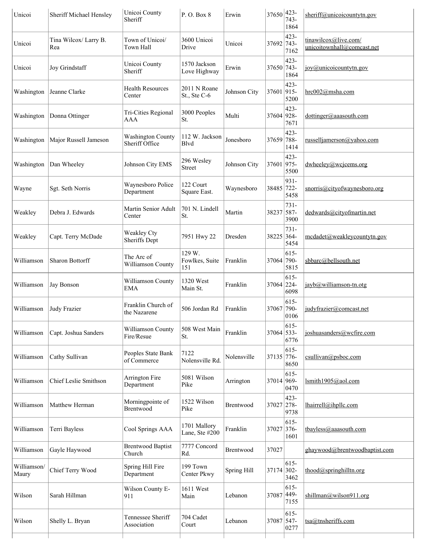| Unicoi               | Sheriff Michael Hensley      | Unicoi County<br>Sheriff                   | P.O. Box 8                      | Erwin        | 37650      | 423-<br>743-<br>1864    | sheriff@unicoicountytn.gov                         |
|----------------------|------------------------------|--------------------------------------------|---------------------------------|--------------|------------|-------------------------|----------------------------------------------------|
| Unicoi               | Tina Wilcox/ Larry B.<br>Rea | Town of Unicoi/<br>Town Hall               | 3600 Unicoi<br>Drive            | Unicoi       | 37692 743- | 423-<br>7162            | tinawilcox@live.com/<br>unicoitownhall@comcast.net |
| Unicoi               | <b>Joy Grindstaff</b>        | Unicoi County<br>Sheriff                   | 1570 Jackson<br>Love Highway    | Erwin        | 37650      | 423-<br>743-<br>1864    | joy@unicoicountytn.gov                             |
| Washington           | Jeanne Clarke                | <b>Health Resources</b><br>Center          | 2011 N Roane<br>St., Ste C-6    | Johnson City | 37601 915- | 423-<br>5200            | hrc002@msha.com                                    |
| Washington           | Donna Ottinger               | Tri-Cities Regional<br><b>AAA</b>          | 3000 Peoples<br>St.             | Multi        | 37604 928- | 423-<br>7671            | dottinger@aaasouth.com                             |
| Washington           | Major Russell Jameson        | <b>Washington County</b><br>Sheriff Office | 112 W. Jackson<br>Blvd          | Jonesboro    | 37659 788- | 423-<br>1414            | russelljamerson@yahoo.com                          |
| Washington           | Dan Wheeley                  | Johnson City EMS                           | 296 Wesley<br><b>Street</b>     | Johnson City | 37601 975- | 423-<br>5500            | $dw$ heeley@wcjcems.org                            |
| Wayne                | Sgt. Seth Norris             | Waynesboro Police<br>Department            | 122 Court<br>Square East.       | Waynesboro   | 38485 722- | 931-<br>5458            | snorris@cityofwaynesboro.org                       |
| Weakley              | Debra J. Edwards             | Martin Senior Adult<br>Center              | 701 N. Lindell<br>St.           | Martin       | 38237 587- | 731-<br>3900            | dedwards@cityofmartin.net                          |
| Weakley              | Capt. Terry McDade           | Weakley Cty<br>Sheriffs Dept               | 7951 Hwy 22                     | Dresden      | 38225 364- | 731-<br>5454            | mcdadet@weakleycountytn.gov                        |
| Williamson           | Sharon Bottorff              | The Arc of<br>Williamson County            | 129 W.<br>Fowlkes, Suite<br>151 | Franklin     | 37064 790- | 615-<br>5815            | sbbarc@bellsouth.net                               |
| Williamson           | Jay Bonson                   | Williamson County<br><b>EMA</b>            | 1320 West<br>Main St.           | Franklin     | 37064 224- | 615-<br>6098            | jayb@williamson-tn.otg                             |
| Williamson           | <b>Judy Frazier</b>          | Franklin Church of<br>the Nazarene         | 506 Jordan Rd                   | Franklin     | 37067      | 615-<br>790-<br>0106    | judyfrazier@comcast.net                            |
| Williamson           | Capt. Joshua Sanders         | Williamson County<br>Fire/Resue            | 508 West Main<br>St.            | Franklin     | 37064 533- | 615-<br>6776            | joshuasanders@wcfire.com                           |
| Williamson           | Cathy Sullivan               | Peoples State Bank<br>of Commerce          | 7122<br>Nolensville Rd.         | Nolensville  | 37135 776- | $615 -$<br>8650         | csullivan@psboc.com                                |
| Williamson           | Chief Leslie Smithson        | Arrington Fire<br>Department               | 5081 Wilson<br>Pike             | Arrington    | 37014 969- | 615-<br>0470            | lsmith1905@aol.com                                 |
| Williamson           | Matthew Herman               | Morningpointe of<br>Brentwood              | 1522 Wilson<br>Pike             | Brentwood    | 37027      | 423-<br>278-<br>9738    | lhairrell@ihpllc.com                               |
| Williamson           | Terri Bayless                | Cool Springs AAA                           | 1701 Mallory<br>Lane, Ste #200  | Franklin     | 37027      | 615-<br>376-<br>1601    | tbayless@aaasouth.com                              |
| Williamson           | Gayle Haywood                | <b>Brentwood Baptist</b><br>Church         | 7777 Concord<br>Rd.             | Brentwood    | 37027      |                         | ghaywood@brentwoodbaptist.com                      |
| Williamson/<br>Maury | Chief Terry Wood             | Spring Hill Fire<br>Department             | 199 Town<br>Center Pkwy         | Spring Hill  | 37174 302- | $615 -$<br>3462         | thood@springhilltn.org                             |
| Wilson               | Sarah Hillman                | Wilson County E-<br>911                    | 1611 West<br>Main               | Lebanon      | 37087      | $615 -$<br>449-<br>7155 | shillman@wilson911.org                             |
| Wilson               | Shelly L. Bryan              | Tennessee Sheriff<br>Association           | 704 Cadet<br>Court              | Lebanon      | 37087 547- | 615-<br>0277            | tsa@tnsheriffs.com                                 |